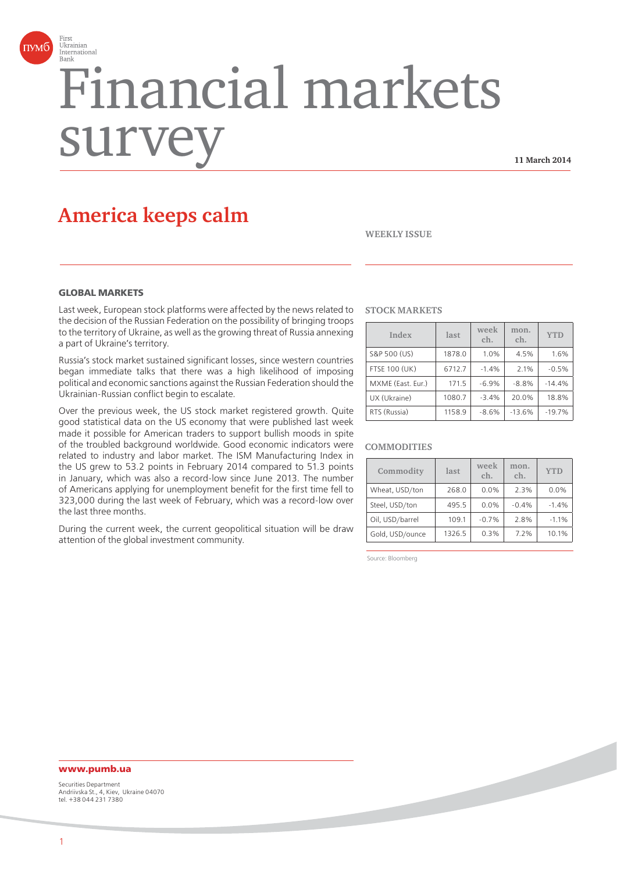

# Financial markets surv

**11 March 2014**

# **America keeps calm**

**WEEKLY ISSUE**

# **GLOBAL MARKETS**

Last week, European stock platforms were affected by the news related to the decision of the Russian Federation on the possibility of bringing troops to the territory of Ukraine, as well as the growing threat of Russia annexing a part of Ukraine's territory.

Russia's stock market sustained significant losses, since western countries began immediate talks that there was a high likelihood of imposing political and economic sanctions against the Russian Federation should the Ukrainian-Russian conflict begin to escalate.

Over the previous week, the US stock market registered growth. Quite good statistical data on the US economy that were published last week made it possible for American traders to support bullish moods in spite of the troubled background worldwide. Good economic indicators were related to industry and labor market. The ISM Manufacturing Index in the US grew to 53.2 points in February 2014 compared to 51.3 points in January, which was also a record-low since June 2013. The number of Americans applying for unemployment benefit for the first time fell to 323,000 during the last week of February, which was a record-low over the last three months.

During the current week, the current geopolitical situation will be draw attention of the global investment community.

#### **STOCK MARKETS**

| Index                | last   | week<br>ch. | mon.<br>ch. | <b>YTD</b> |
|----------------------|--------|-------------|-------------|------------|
| S&P 500 (US)         | 1878.0 | 1.0%        | 4.5%        | 1.6%       |
| <b>FTSE 100 (UK)</b> | 6712.7 | $-1.4%$     | 2.1%        | $-0.5%$    |
| MXME (East. Eur.)    | 171.5  | $-6.9%$     | $-8.8%$     | $-14.4%$   |
| UX (Ukraine)         | 1080.7 | $-3.4%$     | 20.0%       | 18.8%      |
| RTS (Russia)         | 1158.9 | $-8.6%$     | $-13.6%$    | $-19.7%$   |

#### **COMMODITIES**

| Commodity       | last   | week<br>ch. | mon.<br>ch. | <b>YTD</b> |
|-----------------|--------|-------------|-------------|------------|
| Wheat, USD/ton  | 268.0  | 0.0%        | 2.3%        | 0.0%       |
| Steel, USD/ton  | 495.5  | 0.0%        | $-0.4%$     | $-1.4%$    |
| Oil, USD/barrel | 109.1  | $-0.7%$     | 2.8%        | $-1.1%$    |
| Gold, USD/ounce | 1326.5 | 0.3%        | 7.2%        | 10.1%      |

Source: Bloomberg

# **www.pumb.ua**

Securities Department Andriivska St., 4, Kiev, Ukraine 04070 tel. +38 044 231 7380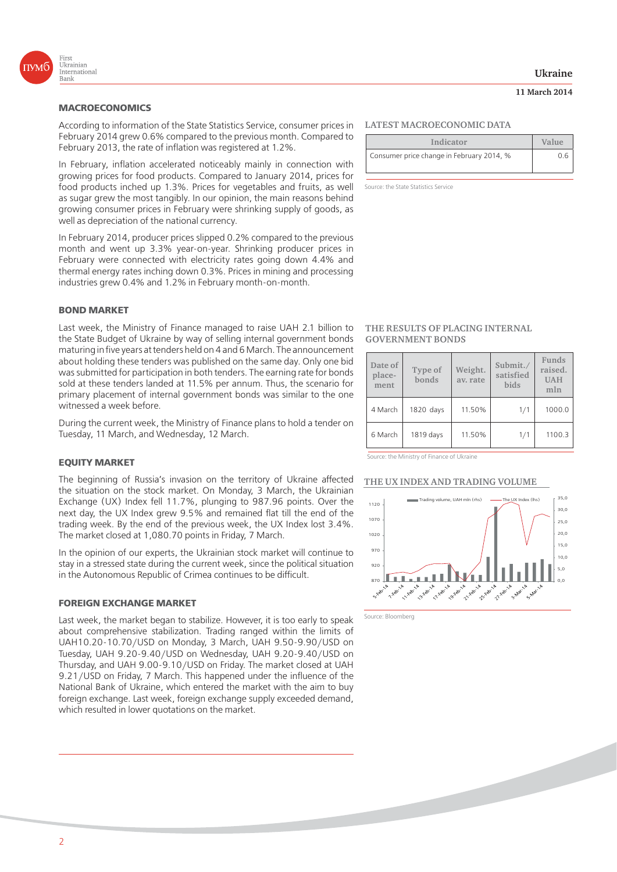

According to information of the State Statistics Service, consumer prices in February 2014 grew 0.6% compared to the previous month. Compared to February 2013, the rate of inflation was registered at 1.2%.

In February, inflation accelerated noticeably mainly in connection with growing prices for food products. Compared to January 2014, prices for food products inched up 1.3%. Prices for vegetables and fruits, as well as sugar grew the most tangibly. In our opinion, the main reasons behind growing consumer prices in February were shrinking supply of goods, as well as depreciation of the national currency.

In February 2014, producer prices slipped 0.2% compared to the previous month and went up 3.3% year-on-year. Shrinking producer prices in February were connected with electricity rates going down 4.4% and thermal energy rates inching down 0.3%. Prices in mining and processing industries grew 0.4% and 1.2% in February month-on-month.

#### **BOND MARKET**

Last week, the Ministry of Finance managed to raise UAH 2.1 billion to the State Budget of Ukraine by way of selling internal government bonds maturing in five years at tenders held on 4 and 6 March. The announcement about holding these tenders was published on the same day. Only one bid was submitted for participation in both tenders. The earning rate for bonds sold at these tenders landed at 11.5% per annum. Thus, the scenario for primary placement of internal government bonds was similar to the one witnessed a week before.

During the current week, the Ministry of Finance plans to hold a tender on Tuesday, 11 March, and Wednesday, 12 March.

#### **EQUITY MARKET**

The beginning of Russia's invasion on the territory of Ukraine affected the situation on the stock market. On Monday, 3 March, the Ukrainian Exchange (UX) Index fell 11.7%, plunging to 987.96 points. Over the next day, the UX Index grew 9.5% and remained flat till the end of the trading week. By the end of the previous week, the UX Index lost 3.4%. The market closed at 1,080.70 points in Friday, 7 March.

In the opinion of our experts, the Ukrainian stock market will continue to stay in a stressed state during the current week, since the political situation in the Autonomous Republic of Crimea continues to be difficult.

#### **FOREIGN EXCHANGE MARKET**

Last week, the market began to stabilize. However, it is too early to speak about comprehensive stabilization. Trading ranged within the limits of UAH10.20-10.70/USD on Monday, 3 March, UAH 9.50-9.90/USD on Tuesday, UAH 9.20-9.40/USD on Wednesday, UAH 9.20-9.40/USD on Thursday, and UAH 9.00-9.10/USD on Friday. The market closed at UAH 9.21/USD on Friday, 7 March. This happened under the influence of the National Bank of Ukraine, which entered the market with the aim to buy foreign exchange. Last week, foreign exchange supply exceeded demand, which resulted in lower quotations on the market.

# **LATEST MACROECONOMIC DATA**

| Indicator                                 | Value |
|-------------------------------------------|-------|
| Consumer price change in February 2014, % | 0.6   |

Source: the State Statistics Service

#### **THE RESULTS OF PLACING INTERNAL GOVERNMENT BONDS**

| Date of<br>place-<br>ment | Type of<br>bonds | Weight.<br>av. rate | Submit./<br>satisfied<br><b>bids</b> | Funds<br>raised.<br><b>UAH</b><br>mln |
|---------------------------|------------------|---------------------|--------------------------------------|---------------------------------------|
| 4 March                   | 1820 days        | 11.50%              | 1/1                                  | 1000.0                                |
| 6 March                   | 1819 days        | 11.50%              | 1/1                                  | 1100.3                                |

Source: the Ministry of Finance of Ukraine

#### **THE UX INDEX AND TRADING VOLUME**



Source: Bloomberg

**11 March 2014**

2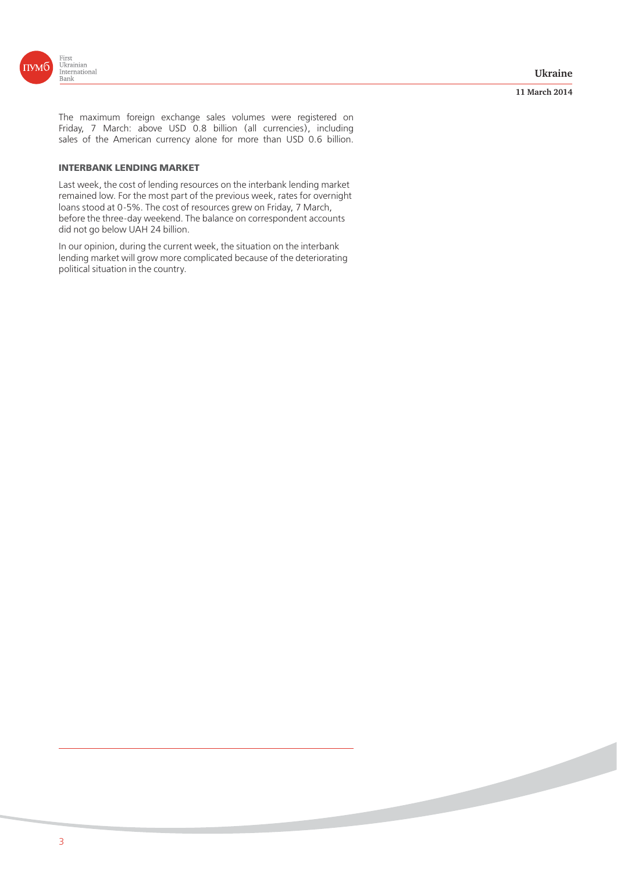

#### **11 March 2014**

The maximum foreign exchange sales volumes were registered on Friday, 7 March: above USD 0.8 billion (all currencies), including sales of the American currency alone for more than USD 0.6 billion.

# **INTERBANK LENDING MARKET**

Last week, the cost of lending resources on the interbank lending market remained low. For the most part of the previous week, rates for overnight loans stood at 0-5%. The cost of resources grew on Friday, 7 March, before the three-day weekend. The balance on correspondent accounts did not go below UAH 24 billion.

In our opinion, during the current week, the situation on the interbank lending market will grow more complicated because of the deteriorating political situation in the country.